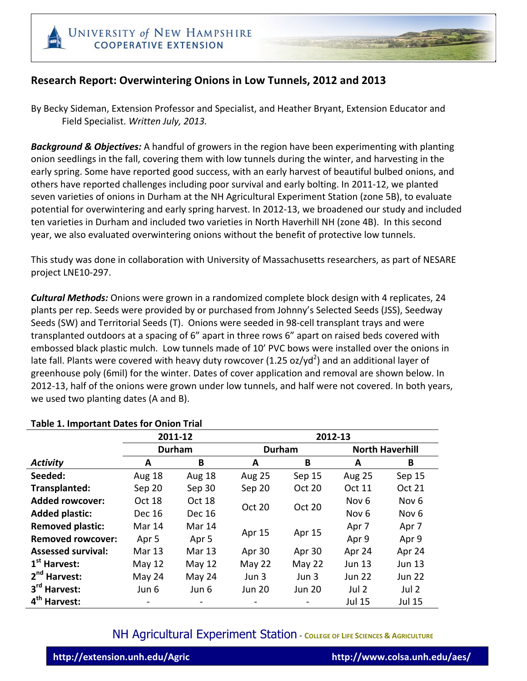### **Research&Report:&Overwintering&Onions&in&Low&Tunnels, 2012&and&2013**

By Becky Sideman, Extension Professor and Specialist, and Heather Bryant, Extension Educator and Field!Specialist.!*Written'July,'2013.*

**Background & Objectives:** A handful of growers in the region have been experimenting with planting onion seedlings in the fall, covering them with low tunnels during the winter, and harvesting in the early spring. Some have reported good success, with an early harvest of beautiful bulbed onions, and others have reported challenges including poor survival and early bolting. In 2011-12, we planted seven varieties of onions in Durham at the NH Agricultural Experiment Station (zone 5B), to evaluate potential for overwintering and early spring harvest. In 2012-13, we broadened our study and included ten varieties in Durham and included two varieties in North Haverhill NH (zone 4B). In this second year, we also evaluated overwintering onions without the benefit of protective low tunnels.

This study was done in collaboration with University of Massachusetts researchers, as part of NESARE project LNE10-297.

**Cultural Methods:** Onions were grown in a randomized complete block design with 4 replicates, 24 plants per rep. Seeds were provided by or purchased from Johnny's Selected Seeds (JSS), Seedway Seeds (SW) and Territorial Seeds (T). Onions were seeded in 98-cell transplant trays and were transplanted outdoors at a spacing of 6" apart in three rows 6" apart on raised beds covered with embossed black plastic mulch. Low tunnels made of 10' PVC bows were installed over the onions in late fall. Plants were covered with heavy duty rowcover (1.25 oz/yd<sup>2</sup>) and an additional layer of greenhouse poly (6mil) for the winter. Dates of cover application and removal are shown below. In 2012-13, half of the onions were grown under low tunnels, and half were not covered. In both years, we used two planting dates (A and B).

|                           |                  | 2011-12          |                         | 2012-13       |                        |                  |  |
|---------------------------|------------------|------------------|-------------------------|---------------|------------------------|------------------|--|
|                           | <b>Durham</b>    |                  | <b>Durham</b>           |               | <b>North Haverhill</b> |                  |  |
| <b>Activity</b>           | A                | B                | A                       | B             | A                      | B                |  |
| Seeded:                   | Aug 18           | <b>Aug 18</b>    | <b>Aug 25</b>           | Sep 15        | <b>Aug 25</b>          | Sep 15           |  |
| Transplanted:             | Sep 20           | Sep 30           | Sep 20                  | <b>Oct 20</b> | <b>Oct 11</b>          | <b>Oct 21</b>    |  |
| <b>Added rowcover:</b>    | Oct 18           | Oct 18           | Oct 20<br><b>Oct 20</b> |               | Nov <sub>6</sub>       | Nov <sub>6</sub> |  |
| <b>Added plastic:</b>     | Dec 16           | Dec 16           |                         |               | Nov <sub>6</sub>       | Nov <sub>6</sub> |  |
| <b>Removed plastic:</b>   | Mar 14           | Mar 14           | Apr 15                  | Apr 15        | Apr 7                  | Apr 7            |  |
| <b>Removed rowcover:</b>  | Apr <sub>5</sub> | Apr <sub>5</sub> |                         |               | Apr 9                  | Apr 9            |  |
| <b>Assessed survival:</b> | Mar 13           | Mar 13           | Apr 30                  | Apr 30        | Apr 24                 | Apr 24           |  |
| 1 <sup>st</sup> Harvest:  | May 12           | May $12$         | May 22                  | May 22        | <b>Jun 13</b>          | <b>Jun 13</b>    |  |
| 2 <sup>nd</sup> Harvest:  | May 24           | May 24           | Jun 3                   | Jun 3         | <b>Jun 22</b>          | <b>Jun 22</b>    |  |
| 3rd Harvest:              | Jun 6            | Jun 6            | <b>Jun 20</b>           | <b>Jun 20</b> | Jul <sub>2</sub>       | Jul 2            |  |
| 4 <sup>th</sup> Harvest:  |                  |                  |                         |               | Jul 15                 | <b>Jul 15</b>    |  |

#### **Table 1. Important Dates for Onion Trial**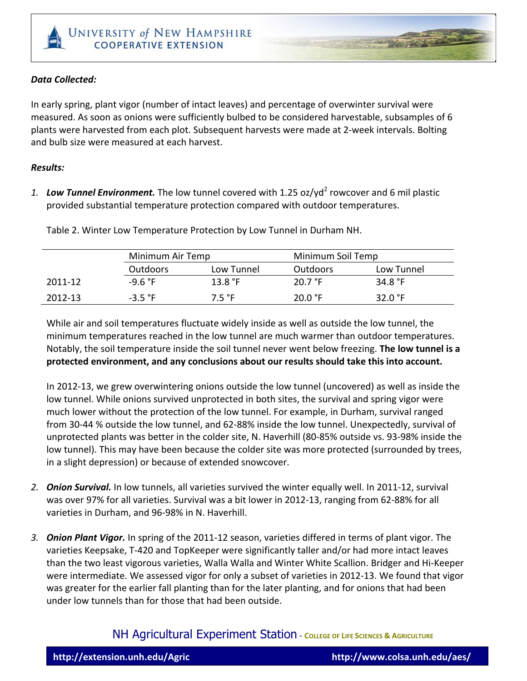#### *Data+Collected:*

In early spring, plant vigor (number of intact leaves) and percentage of overwinter survival were measured. As soon as onions were sufficiently bulbed to be considered harvestable, subsamples of 6 plants were harvested from each plot. Subsequent harvests were made at 2-week intervals. Bolting and bulb size were measured at each harvest.

#### *Results:*

1. **Low Tunnel Environment.** The low tunnel covered with 1.25 oz/yd<sup>2</sup> rowcover and 6 mil plastic provided substantial temperature protection compared with outdoor temperatures.

|         |                 | Minimum Air Temp |                 | Minimum Soil Temp |
|---------|-----------------|------------------|-----------------|-------------------|
|         | <b>Outdoors</b> | Low Tunnel       | <b>Outdoors</b> | Low Tunnel        |
| 2011-12 | $-9.6 °F$       | 13.8 °F          | 20.7 °F         | 34.8 $^{\circ}$ F |
| 2012-13 | $-3.5$ °F       | 7.5 °F           | 20.0 °F         | 32.0 $^{\circ}$ F |

Table 2. Winter Low Temperature Protection by Low Tunnel in Durham NH.

While air and soil temperatures fluctuate widely inside as well as outside the low tunnel, the minimum temperatures reached in the low tunnel are much warmer than outdoor temperatures. Notably, the soil temperature inside the soil tunnel never went below freezing. **The low tunnel is a** protected environment, and any conclusions about our results should take this into account.

In 2012-13, we grew overwintering onions outside the low tunnel (uncovered) as well as inside the low tunnel. While onions survived unprotected in both sites, the survival and spring vigor were much lower without the protection of the low tunnel. For example, in Durham, survival ranged from 30-44 % outside the low tunnel, and 62-88% inside the low tunnel. Unexpectedly, survival of unprotected plants was better in the colder site, N. Haverhill (80-85% outside vs. 93-98% inside the low tunnel). This may have been because the colder site was more protected (surrounded by trees, in a slight depression) or because of extended snowcover.

- 2. *Onion Survival.* In low tunnels, all varieties survived the winter equally well. In 2011-12, survival was over 97% for all varieties. Survival was a bit lower in 2012-13, ranging from 62-88% for all varieties in Durham, and 96-98% in N. Haverhill.
- 3. *Onion Plant Vigor.* In spring of the 2011-12 season, varieties differed in terms of plant vigor. The varieties Keepsake, T-420 and TopKeeper were significantly taller and/or had more intact leaves than the two least vigorous varieties, Walla Walla and Winter White Scallion. Bridger and Hi-Keeper were intermediate. We assessed vigor for only a subset of varieties in 2012-13. We found that vigor was greater for the earlier fall planting than for the later planting, and for onions that had been under low tunnels than for those that had been outside.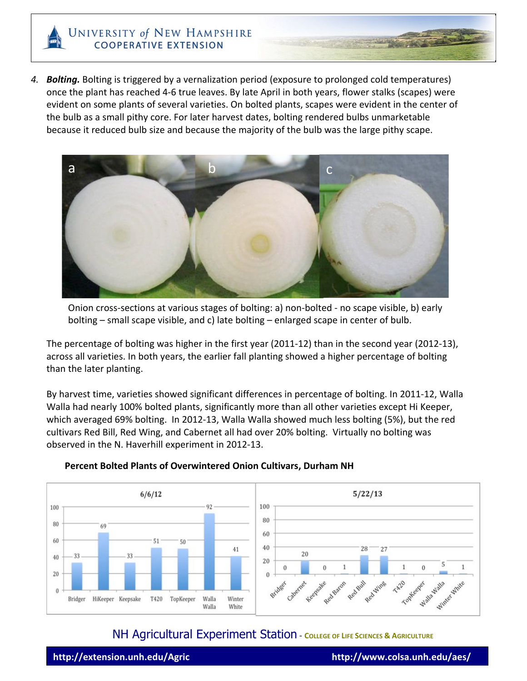4. **Bolting.** Bolting is triggered by a vernalization period (exposure to prolonged cold temperatures) once the plant has reached 4-6 true leaves. By late April in both years, flower stalks (scapes) were evident on some plants of several varieties. On bolted plants, scapes were evident in the center of the bulb as a small pithy core. For later harvest dates, bolting rendered bulbs unmarketable because it reduced bulb size and because the majority of the bulb was the large pithy scape.



Onion cross-sections at various stages of bolting: a) non-bolted - no scape visible, b) early bolting – small scape visible, and c) late bolting – enlarged scape in center of bulb.

The percentage of bolting was higher in the first year (2011-12) than in the second year (2012-13), across all varieties. In both years, the earlier fall planting showed a higher percentage of bolting than the later planting.

By harvest time, varieties showed significant differences in percentage of bolting. In 2011-12, Walla Walla had nearly 100% bolted plants, significantly more than all other varieties except Hi Keeper, which averaged 69% bolting. In 2012-13, Walla Walla showed much less bolting (5%), but the red cultivars Red Bill, Red Wing, and Cabernet all had over 20% bolting. Virtually no bolting was observed in the N. Haverhill experiment in 2012-13.



### **Percent Bolted Plants of Overwintered Onion Cultivars, Durham NH**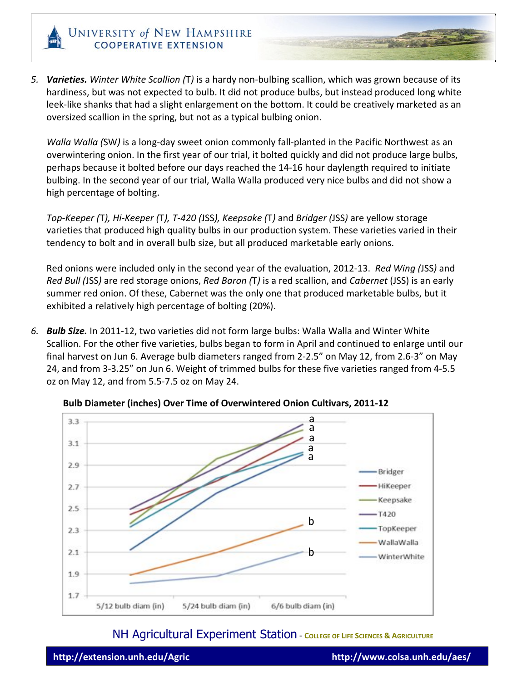

5. Varieties. Winter White Scallion (T) is a hardy non-bulbing scallion, which was grown because of its hardiness, but was not expected to bulb. It did not produce bulbs, but instead produced long white leek-like shanks that had a slight enlargement on the bottom. It could be creatively marketed as an oversized scallion in the spring, but not as a typical bulbing onion.

*Walla Walla (SW)* is a long-day sweet onion commonly fall-planted in the Pacific Northwest as an overwintering onion. In the first year of our trial, it bolted quickly and did not produce large bulbs, perhaps because it bolted before our days reached the 14-16 hour daylength required to initiate bulbing. In the second year of our trial, Walla Walla produced very nice bulbs and did not show a high percentage of bolting.

*Top-Keeper (T), Hi-Keeper (T), T-420 (JSS), Keepsake (T) and <i>Bridger (JSS)* are yellow storage varieties that produced high quality bulbs in our production system. These varieties varied in their tendency to bolt and in overall bulb size, but all produced marketable early onions.

Red onions were included only in the second year of the evaluation, 2012-13. *Red Wing (JSS)* and *Red Bull (JSS)* are red storage onions, *Red Baron (*T) is a red scallion, and *Cabernet* (JSS) is an early summer red onion. Of these, Cabernet was the only one that produced marketable bulbs, but it exhibited a relatively high percentage of bolting (20%).

6. **Bulb Size.** In 2011-12, two varieties did not form large bulbs: Walla Walla and Winter White Scallion. For the other five varieties, bulbs began to form in April and continued to enlarge until our final harvest on Jun 6. Average bulb diameters ranged from 2-2.5" on May 12, from 2.6-3" on May 24, and from 3-3.25" on Jun 6. Weight of trimmed bulbs for these five varieties ranged from 4-5.5 oz on May 12, and from 5.5-7.5 oz on May 24.



**Bulb Diameter (inches) Over Time of Overwintered Onion Cultivars, 2011-12**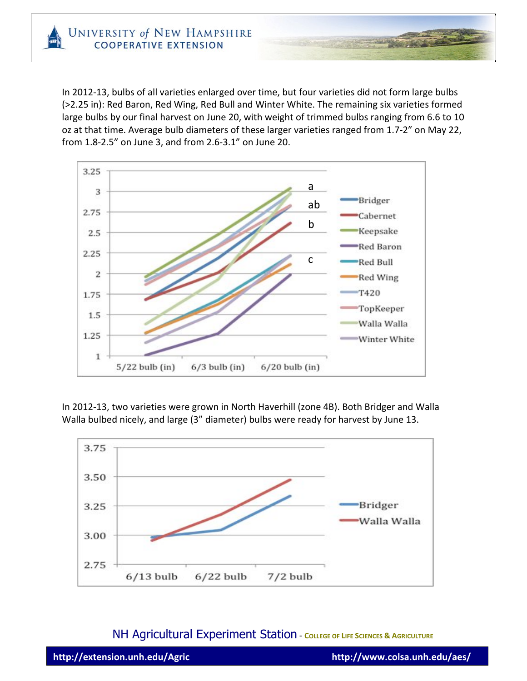In 2012-13, bulbs of all varieties enlarged over time, but four varieties did not form large bulbs (>2.25 in): Red Baron, Red Wing, Red Bull and Winter White. The remaining six varieties formed large bulbs by our final harvest on June 20, with weight of trimmed bulbs ranging from 6.6 to 10 oz at that time. Average bulb diameters of these larger varieties ranged from 1.7-2" on May 22, from 1.8-2.5" on June 3, and from 2.6-3.1" on June 20.



In 2012-13, two varieties were grown in North Haverhill (zone 4B). Both Bridger and Walla Walla bulbed nicely, and large (3" diameter) bulbs were ready for harvest by June 13.

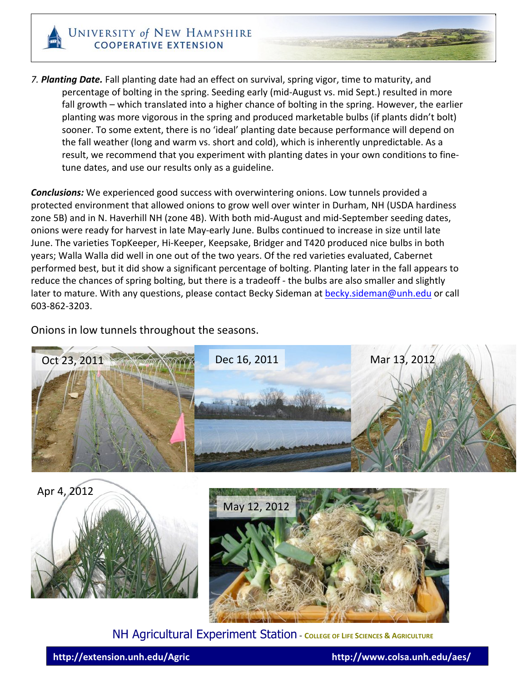

7. **Planting Date.** Fall planting date had an effect on survival, spring vigor, time to maturity, and percentage of bolting in the spring. Seeding early (mid-August vs. mid Sept.) resulted in more fall growth – which translated into a higher chance of bolting in the spring. However, the earlier planting was more vigorous in the spring and produced marketable bulbs (if plants didn't bolt) sooner. To some extent, there is no 'ideal' planting date because performance will depend on the fall weather (long and warm vs. short and cold), which is inherently unpredictable. As a result, we recommend that you experiment with planting dates in your own conditions to finetune dates, and use our results only as a guideline.

**Conclusions:** We experienced good success with overwintering onions. Low tunnels provided a protected environment that allowed onions to grow well over winter in Durham, NH (USDA hardiness zone 5B) and in N. Haverhill NH (zone 4B). With both mid-August and mid-September seeding dates, onions were ready for harvest in late May-early June. Bulbs continued to increase in size until late June. The varieties TopKeeper, Hi-Keeper, Keepsake, Bridger and T420 produced nice bulbs in both years; Walla Walla did well in one out of the two years. Of the red varieties evaluated, Cabernet performed best, but it did show a significant percentage of bolting. Planting later in the fall appears to reduce the chances of spring bolting, but there is a tradeoff - the bulbs are also smaller and slightly later to mature. With any questions, please contact Becky Sideman at becky.sideman@unh.edu or call 603-862-3203.

Onions in low tunnels throughout the seasons.